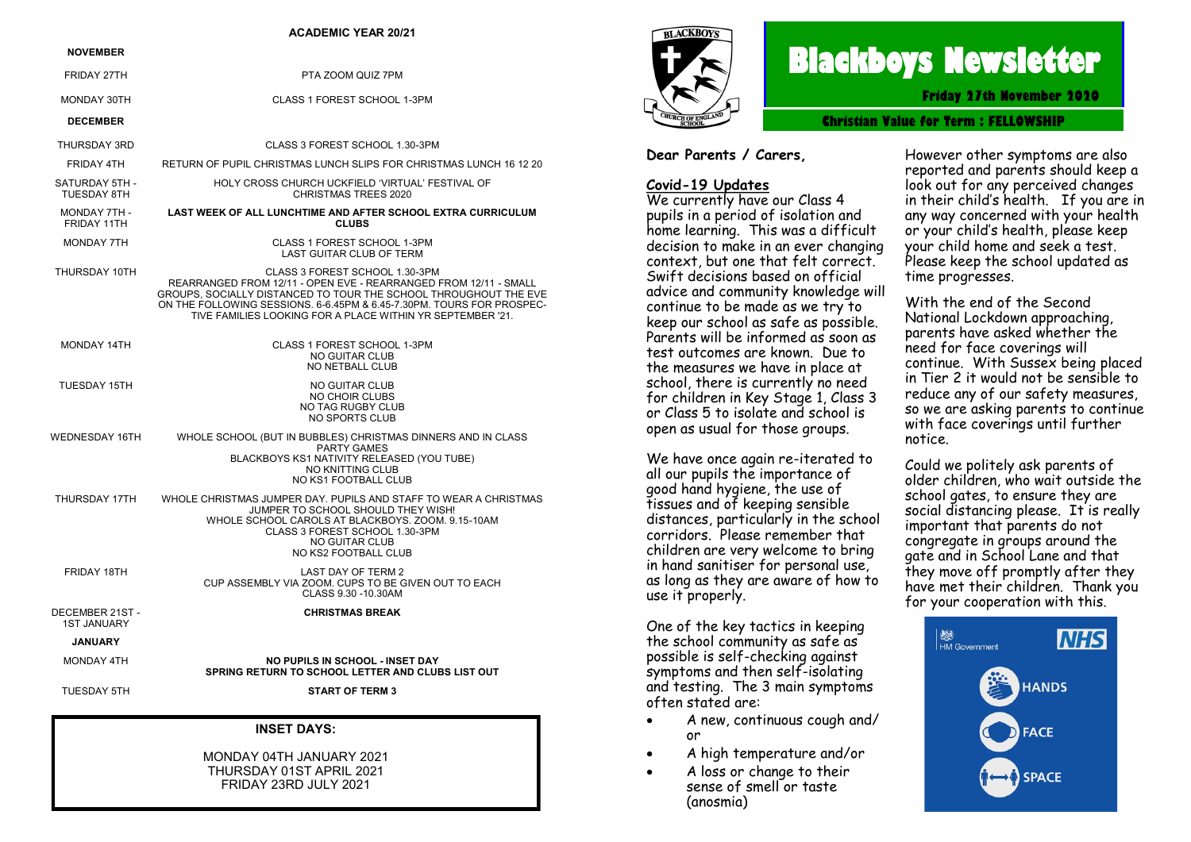#### **ACADEMIC YEAR 20/21 NOVEMBER** FRIDAY 27TH PTA ZOOM QUIZ 7PM MONDAY 30TH CLASS 1 FOREST SCHOOL 1-3PM **DECEMBER** THURSDAY 3RD CLASS 3 FOREST SCHOOL 1.30-3PM FRIDAY 4TH RETURN OF PUPIL CHRISTMAS LUNCH SLIPS FOR CHRISTMAS LUNCH 16 12 20 SATURDAY 5TH - TUESDAY 8TH HOLY CROSS CHURCH UCKFIELD 'VIRTUAL' FESTIVAL OF CHRISTMAS TREES 2020 MONDAY 7TH - FRIDAY 11TH **LAST WEEK OF ALL LUNCHTIME AND AFTER SCHOOL EXTRA CURRICULUM CLUBS** MONDAY 7TH CLASS 1 FOREST SCHOOL 1-3PM LAST GUITAR CLUB OF TERM THURSDAY 10TH CLASS 3 FOREST SCHOOL 1.30-3PM REARRANGED FROM 12/11 - OPEN EVE - REARRANGED FROM 12/11 - SMALL GROUPS, SOCIALLY DISTANCED TO TOUR THE SCHOOL THROUGHOUT THE EVE ON THE FOLLOWING SESSIONS. 6-6.45PM & 6.45-7.30PM. TOURS FOR PROSPEC-TIVE FAMILIES LOOKING FOR A PLACE WITHIN YR SEPTEMBER '21. MONDAY 14TH CLASS 1 FOREST SCHOOL 1-3PM NO GUITAR CLUB NO NETBALL CLUB TUESDAY 15TH NO GUITAR CLUB NO CHOIR CLUBS NO TAG RUGBY CLUB NO SPORTS CLUB WEDNESDAY 16TH WHOLE SCHOOL (BUT IN BUBBLES) CHRISTMAS DINNERS AND IN CLASS PARTY GAMES BLACKBOYS KS1 NATIVITY RELEASED (YOU TUBE) NO KNITTING CLUB NO KS1 FOOTBALL CLUB THURSDAY 17TH WHOLE CHRISTMAS JUMPER DAY. PUPILS AND STAFF TO WEAR A CHRISTMAS JUMPER TO SCHOOL SHOULD THEY WISH! WHOLE SCHOOL CAROLS AT BLACKBOYS. ZOOM. 9.15-10AM CLASS 3 FOREST SCHOOL 1.30-3PM NO GUITAR CLUB NO KS2 FOOTBALL CLUB FRIDAY 18TH LAST DAY OF TERM 2

DECEMBER 21ST -

**CHRISTMAS BREAK**

CUP ASSEMBLY VIA ZOOM. CUPS TO BE GIVEN OUT TO EACH CLASS 9.30 -10.30AM

**SPRING RETURN TO SCHOOL LETTER AND CLUBS LIST OUT**

1ST JANUARY

#### **JANUARY**

MONDAY 4TH **NO PUPILS IN SCHOOL - INSET DAY**

TUESDAY 5TH **START OF TERM 3**

#### **INSET DAYS:**

MONDAY 04TH JANUARY 2021 THURSDAY 01ST APRIL 2021 FRIDAY 23RD JULY 2021



# **Blackboys Newsletter**

**Friday 27th November 2020**

**Christian Value for Term : [FELLOWSHIP](https://www.google.co.uk/search?safe=strict&q=Perseverance&spell=1&sa=X&ved=0ahUKEwjdufaq38vdAhUHIsAKHUx5DOMQkeECCCgoAA)**

#### **Dear Parents / Carers,**

# **Covid-19 Updates**

We currently have our Class 4 pupils in a period of isolation and home learning. This was a difficult decision to make in an ever changing context, but one that felt correct. Swift decisions based on official advice and community knowledge will continue to be made as we try to keep our school as safe as possible. Parents will be informed as soon as test outcomes are known. Due to the measures we have in place at school, there is currently no need for children in Key Stage 1, Class 3 or Class 5 to isolate and school is open as usual for those groups.

We have once again re-iterated to all our pupils the importance of good hand hygiene, the use of tissues and of keeping sensible distances, particularly in the school corridors. Please remember that children are very welcome to bring in hand sanitiser for personal use, as long as they are aware of how to use it properly.

One of the key tactics in keeping the school community as safe as possible is self-checking against symptoms and then self-isolating and testing. The 3 main symptoms often stated are:

- A new, continuous cough and/ or
- A high temperature and/or
- A loss or change to their sense of smell or taste (anosmia)

However other symptoms are also reported and parents should keep a look out for any perceived changes in their child's health. If you are in any way concerned with your health or your child's health, please keep your child home and seek a test. Please keep the school updated as time progresses.

With the end of the Second National Lockdown approaching, parents have asked whether the need for face coverings will continue. With Sussex being placed in Tier 2 it would not be sensible to reduce any of our safety measures, so we are asking parents to continue with face coverings until further notice.

Could we politely ask parents of older children, who wait outside the school gates, to ensure they are social distancing please. It is really important that parents do not congregate in groups around the gate and in School Lane and that they move off promptly after they have met their children. Thank you for your cooperation with this.